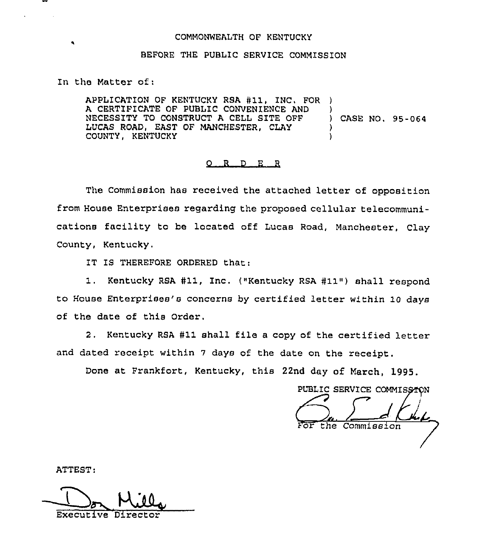### COMMONWEALTH OF KENTUCKY

# BEFORE THE PUBLIC SERVICE COMMISSION

In the Matter of:

APPLICATION OF KENTUCKY RSA #11, INC. FOR A CERTIFICATE OF PUBLIC CONVENIENCE AND NECESSITY TO CONSTRUCT <sup>A</sup> CELL SITE OFF LUCAS ROAD, EAST OF MANCHESTER, CLAY COUNTY, KENTUCKY ) ) CASE NO. 95-064 ) )

#### 0 <sup>R</sup> <sup>D</sup> E <sup>R</sup>

The Commission has received the attached letter of opposition from House Enterprises regarding the proposed cellular telecommunications facility to be located off Lucas Road, Manchester, Clay County, Kentucky.

IT IS THEREFORE ORDERED that:

1. Kentucky RSA #11, Inc. ("Kentucky RSA #11") shall respond to House Enterprises's concerns by certified letter within 10 days of the date of this Order.

2. Kentucky RSA #11 shall file a copy of the certified letter and dated receipt within <sup>7</sup> days of the date on the receipt.

Done at Frankfort, Kentucky, this 22nd day of March, 1995.

PUBLIC SERVICE COMMISSION the Commission

ATTEST:

 $\frac{1}{\sqrt{2}}$ Executive Director